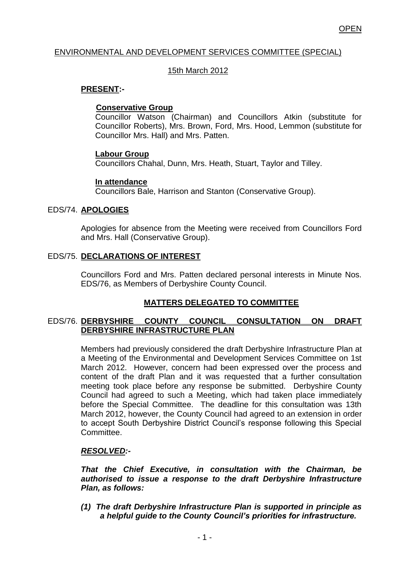### ENVIRONMENTAL AND DEVELOPMENT SERVICES COMMITTEE (SPECIAL)

### 15th March 2012

### **PRESENT:-**

#### **Conservative Group**

Councillor Watson (Chairman) and Councillors Atkin (substitute for Councillor Roberts), Mrs. Brown, Ford, Mrs. Hood, Lemmon (substitute for Councillor Mrs. Hall) and Mrs. Patten.

#### **Labour Group**

Councillors Chahal, Dunn, Mrs. Heath, Stuart, Taylor and Tilley.

#### **In attendance**

Councillors Bale, Harrison and Stanton (Conservative Group).

# EDS/74. **APOLOGIES**

Apologies for absence from the Meeting were received from Councillors Ford and Mrs. Hall (Conservative Group).

# EDS/75. **DECLARATIONS OF INTEREST**

Councillors Ford and Mrs. Patten declared personal interests in Minute Nos. EDS/76, as Members of Derbyshire County Council.

# **MATTERS DELEGATED TO COMMITTEE**

# EDS/76. **DERBYSHIRE COUNTY COUNCIL CONSULTATION ON DRAFT DERBYSHIRE INFRASTRUCTURE PLAN**

Members had previously considered the draft Derbyshire Infrastructure Plan at a Meeting of the Environmental and Development Services Committee on 1st March 2012. However, concern had been expressed over the process and content of the draft Plan and it was requested that a further consultation meeting took place before any response be submitted. Derbyshire County Council had agreed to such a Meeting, which had taken place immediately before the Special Committee. The deadline for this consultation was 13th March 2012, however, the County Council had agreed to an extension in order to accept South Derbyshire District Council's response following this Special **Committee.** 

# *RESOLVED:-*

*That the Chief Executive, in consultation with the Chairman, be authorised to issue a response to the draft Derbyshire Infrastructure Plan, as follows:*

*(1) The draft Derbyshire Infrastructure Plan is supported in principle as a helpful guide to the County Council's priorities for infrastructure.*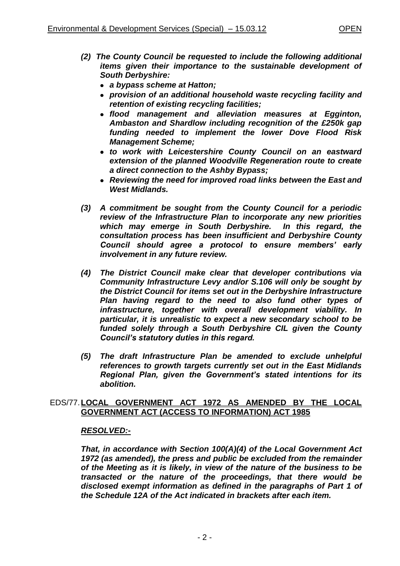- *(2) The County Council be requested to include the following additional items given their importance to the sustainable development of South Derbyshire:*
	- *a bypass scheme at Hatton;*
	- *provision of an additional household waste recycling facility and retention of existing recycling facilities;*
	- *flood management and alleviation measures at Egginton, Ambaston and Shardlow including recognition of the £250k gap funding needed to implement the lower Dove Flood Risk Management Scheme;*
	- *to work with Leicestershire County Council on an eastward extension of the planned Woodville Regeneration route to create a direct connection to the Ashby Bypass;*
	- *Reviewing the need for improved road links between the East and West Midlands.*
- *(3) A commitment be sought from the County Council for a periodic review of the Infrastructure Plan to incorporate any new priorities which may emerge in South Derbyshire. In this regard, the consultation process has been insufficient and Derbyshire County Council should agree a protocol to ensure members' early involvement in any future review.*
- *(4) The District Council make clear that developer contributions via Community Infrastructure Levy and/or S.106 will only be sought by the District Council for items set out in the Derbyshire Infrastructure Plan having regard to the need to also fund other types of infrastructure, together with overall development viability. In particular, it is unrealistic to expect a new secondary school to be funded solely through a South Derbyshire CIL given the County Council's statutory duties in this regard.*
- *(5) The draft Infrastructure Plan be amended to exclude unhelpful references to growth targets currently set out in the East Midlands Regional Plan, given the Government's stated intentions for its abolition.*

# EDS/77.**LOCAL GOVERNMENT ACT 1972 AS AMENDED BY THE LOCAL GOVERNMENT ACT (ACCESS TO INFORMATION) ACT 1985**

#### *RESOLVED:-*

*That, in accordance with Section 100(A)(4) of the Local Government Act 1972 (as amended), the press and public be excluded from the remainder of the Meeting as it is likely, in view of the nature of the business to be transacted or the nature of the proceedings, that there would be disclosed exempt information as defined in the paragraphs of Part 1 of the Schedule 12A of the Act indicated in brackets after each item.*